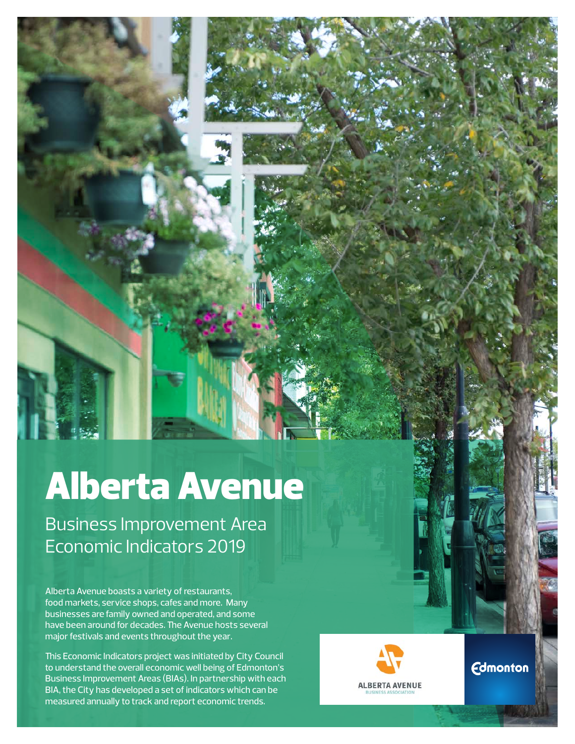# Alberta Avenue

Business Improvement Area Economic Indicators 2019

Alberta Avenue boasts a variety of restaurants, food markets, service shops, cafes and more. Many businesses are family owned and operated, and some have been around for decades. The Avenue hosts several major festivals and events throughout the year.

This Economic Indicators project was initiated by City Council to understand the overall economic well being of Edmonton's Business Improvement Areas (BIAs). In partnership with each BIA, the City has developed a set of indicators which can be measured annually to track and report economic trends.



**Edmonton**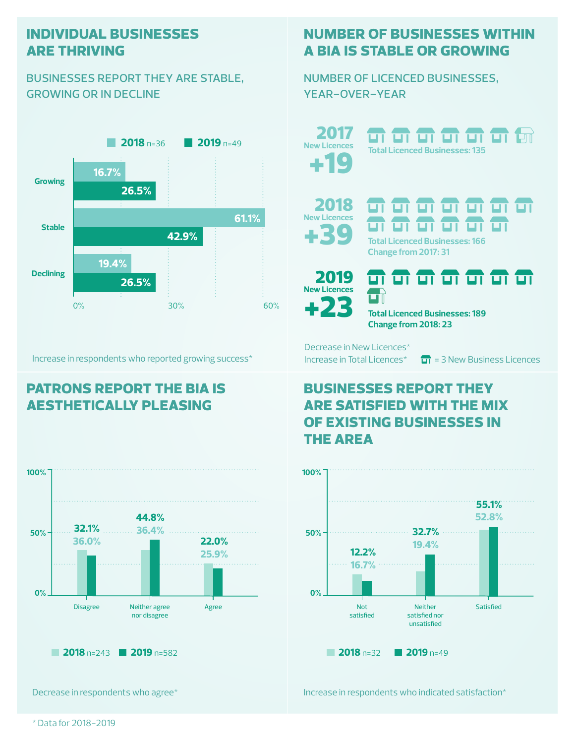#### **individual businesses are thriving**

#### businesses report they are stable, growing or in decline



Increase in respondents who reported growing success\*

## **patrons report the bia is aesthetically pleasing**



Decrease in respondents who agree\*

#### **number of businesses within a bia is stable or growing**

number of licenced businesses, year-over-year

**2019** n=49 **2017 11 11 11 11 11 11** 2017 **New Licences Total Licenced Businesses: 135** +19 2018 <del>ज ज ज ज ज ज ज</del> **New Licences** <del>a a a a a a</del>  $\blacktriangleright$ **Total Licenced Businesses: 166 Change from 2017: 31** <del>न न न न न न न</del> 2019 **New Licences** $\Box$ +23

**Total Licenced Businesses: 189 Change from 2018: 23**

Decrease in New Licences\*

Increase in Total Licences<sup>\*</sup>  $\overline{m}$  = 3 New Business Licences

### **businesses report they are satisfied with the mix of existing businesses in the area**



Increase in respondents who indicated satisfaction\*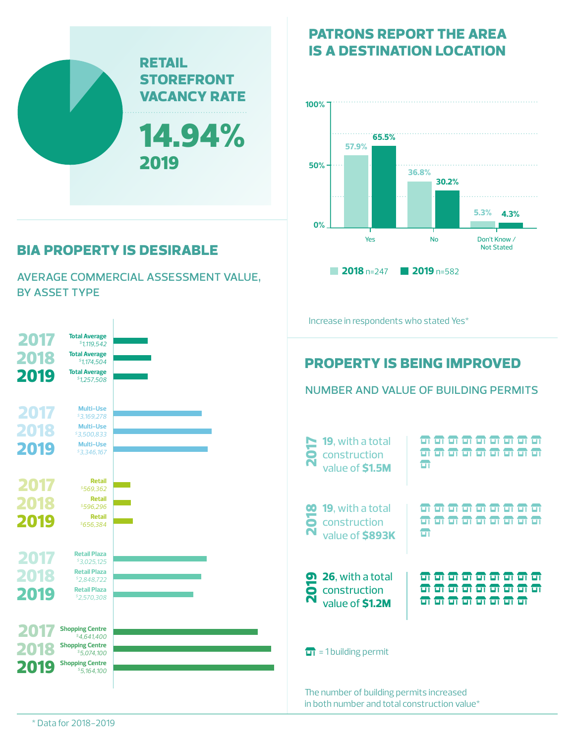

# **bia property is desirable**

average commercial assessment value, by asset type



## **patrons report the area is a destination location**



#### \* Data for 2018-2019